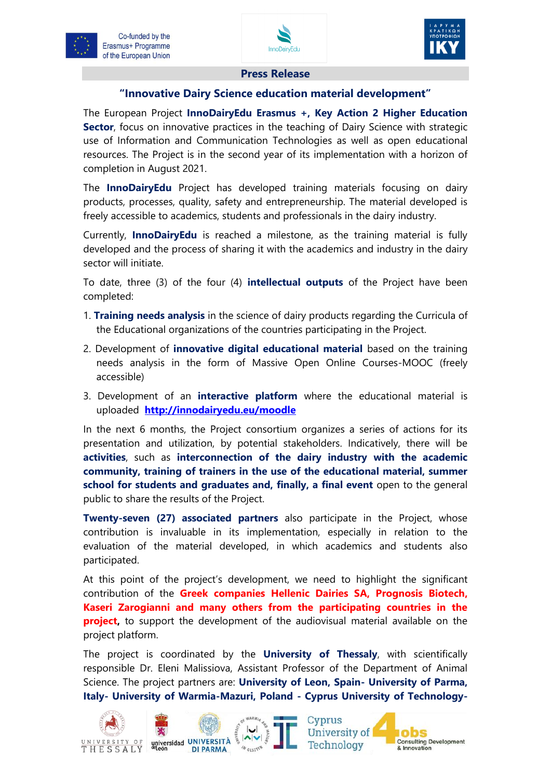



## **Press Release**

## **"Innovative Dairy Science education material development"**

The European Project **InnoDairyEdu Erasmus +, Key Action 2 Higher Education Sector**, focus on innovative practices in the teaching of Dairy Science with strategic use of Information and Communication Technologies as well as open educational resources. The Project is in the second year of its implementation with a horizon of completion in August 2021.

The **InnoDairyEdu** Project has developed training materials focusing on dairy products, processes, quality, safety and entrepreneurship. The material developed is freely accessible to academics, students and professionals in the dairy industry.

Currently, **InnoDairyEdu** is reached a milestone, as the training material is fully developed and the process of sharing it with the academics and industry in the dairy sector will initiate.

To date, three (3) of the four (4) **intellectual outputs** of the Project have been completed:

- 1. **Training needs analysis** in the science of dairy products regarding the Curricula of the Educational organizations of the countries participating in the Project.
- 2. Development of **innovative digital educational material** based on the training needs analysis in the form of Massive Open Online Courses-MOOC (freely accessible)
- 3. Development of an **interactive platform** where the educational material is uploaded **<http://innodairyedu.eu/moodle>**

In the next 6 months, the Project consortium organizes a series of actions for its presentation and utilization, by potential stakeholders. Indicatively, there will be **activities**, such as **interconnection of the dairy industry with the academic community, training of trainers in the use of the educational material, summer school for students and graduates and, finally, a final event** open to the general public to share the results of the Project.

**Twenty-seven (27) associated partners** also participate in the Project, whose contribution is invaluable in its implementation, especially in relation to the evaluation of the material developed, in which academics and students also participated.

At this point of the project's development, we need to highlight the significant contribution of the **Greek companies Hellenic Dairies SA, Prognosis Biotech, Kaseri Zarogianni and many others from the participating countries in the project**, to support the development of the audiovisual material available on the project platform.

The project is coordinated by the **University of Thessaly**, with scientifically responsible Dr. Eleni Malissiova, Assistant Professor of the Department of Animal Science. The project partners are: **University of Leon, Spain- University of Parma, Italy- University of Warmia-Mazuri, Poland - Cyprus University of Technology-**